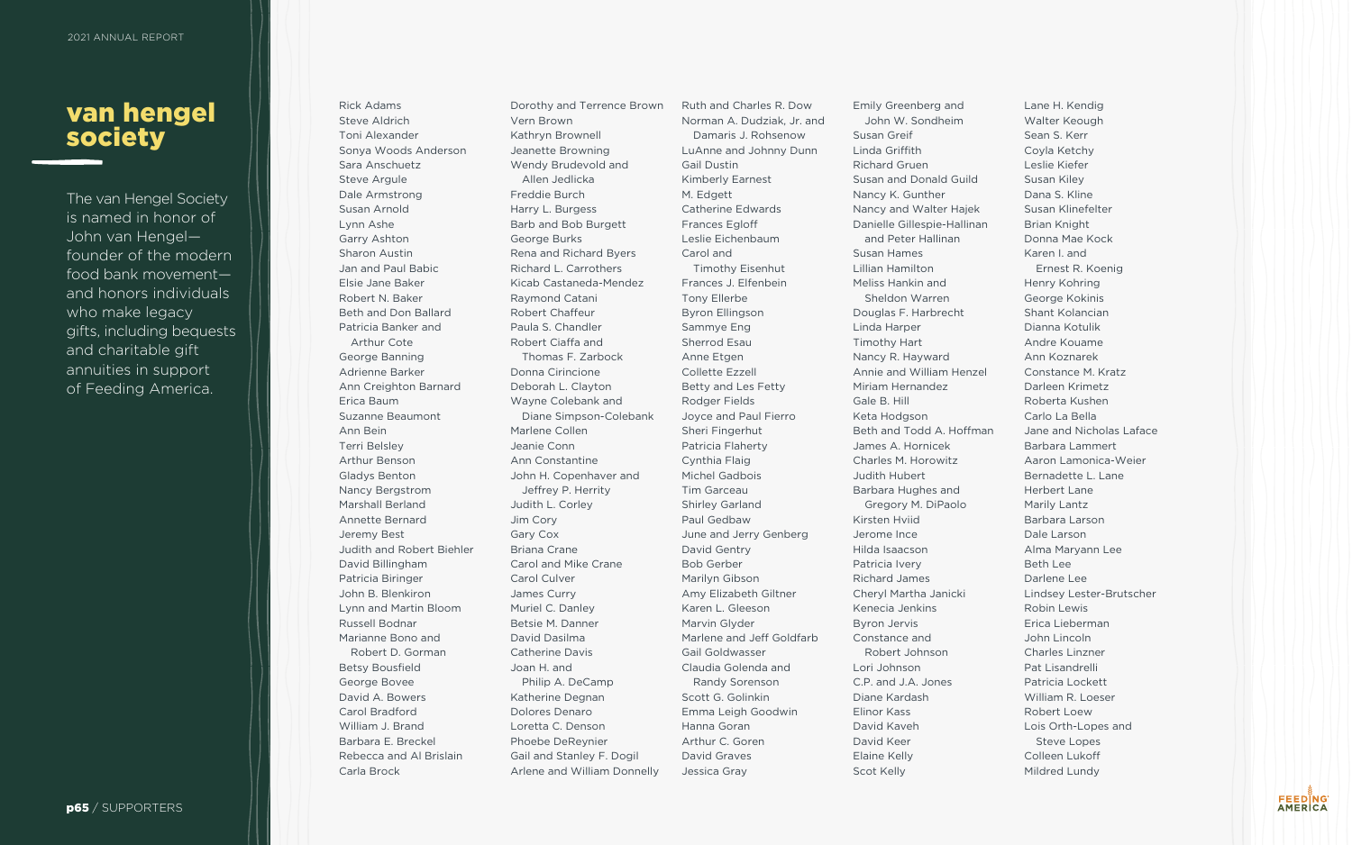## van hengel society

The van Hengel Society is named in honor of John van Hengel founder of the modern food bank movement and honors individuals who make legacy gifts, including bequests and charitable gift annuities in support of Feeding America.

Rick Adams Steve Aldrich Toni Alexander Sonya Woods Anderson Sara Anschuetz Steve Argule Dale Armstrong Susan Arnold Lynn Ashe Garry Ashton Sharon Austin Jan and Paul Babic Elsie Jane Baker Robert N. Baker Beth and Don Ballard Patricia Banker and Arthur Cote George Banning Adrienne Barker Ann Creighton Barnard Erica Baum Suzanne Beaumont Ann Bein Terri Belsley Arthur Benson Gladys Benton Nancy Bergstrom Marshall Berland Annette Bernard Jeremy Best Judith and Robert Biehler David Billingham Patricia Biringer John B. Blenkiron Lynn and Martin Bloom Russell Bodnar Marianne Bono and Robert D. Gorman Betsy Bousfield George Bovee David A. Bowers Carol Bradford William J. Brand Barbara E. Breckel Rebecca and Al Brislain Carla Brock

Dorothy and Terrence Brown Vern Brown Kathryn Brownell Jeanette Browning Wendy Brudevold and Allen Jedlicka Freddie Burch Harry L. Burgess Barb and Bob Burgett George Burks Rena and Richard Byers Richard L. Carrothers Kicab Castaneda-Mendez Raymond Catani Robert Chaffeur Paula S. Chandler Robert Ciaffa and Thomas F. Zarbock Donna Cirincione Deborah L. Clayton Wayne Colebank and Diane Simpson-Colebank Marlene Collen Jeanie Conn Ann Constantine John H. Copenhaver and Jeffrey P. Herrity Judith L. Corley Jim Cory Gary Cox Briana Crane Carol and Mike Crane Carol Culver James Curry Muriel C. Danley Betsie M. Danner David Dasilma Catherine Davis Joan H. and Philip A. DeCamp Katherine Degnan Dolores Denaro Loretta C. Denson Phoebe DeReynier Gail and Stanley F. Dogil Arlene and William Donnelly

Emily Greenberg and John W. Sondhei Susan Greif Linda Griffith Richard Gruen Susan and Donald Nancy K. Gunther Nancy and Walter Danielle Gillespie-H and Peter Hallina Susan Hames Lillian Hamilton Meliss Hankin and Sheldon Warren Douglas F. Harbrec Linda Harper Timothy Hart Nancy R. Hayward Annie and William Miriam Hernandez Gale B. Hill Keta Hodgson Beth and Todd A. James A. Hornicek Charles M. Horowit Judith Hubert Barbara Hughes ar Gregory M. DiPa Kirsten Hviid Jerome Ince Hilda Isaacson Patricia Ivery Richard James Cheryl Martha Janie Kenecia Jenkins Byron Jervis Constance and Robert Johnson Lori Johnson C.P. and J.A. Jones Diane Kardash Elinor Kass David Kaveh David Keer Elaine Kelly Scot Kelly

Ruth and Charles R. Dow Norman A. Dudziak, Jr. and Damaris J. Rohsenow LuAnne and Johnny Dunn Gail Dustin Kimberly Earnest M. Edgett Catherine Edwards Frances Egloff Leslie Eichenbaum Carol and Timothy Eisenhut Frances J. Elfenbein Tony Ellerbe Byron Ellingson Sammye Eng Sherrod Esau Anne Etgen Collette Ezzell Betty and Les Fetty Rodger Fields Joyce and Paul Fierro Sheri Fingerhut Patricia Flaherty Cynthia Flaig Michel Gadbois Tim Garceau Shirley Garland Paul Gedbaw June and Jerry Genberg David Gentry Bob Gerber Marilyn Gibson Amy Elizabeth Giltner Karen L. Gleeson Marvin Glyder Marlene and Jeff Goldfarb Gail Goldwasser Claudia Golenda and Randy Sorenson Scott G. Golinkin Emma Leigh Goodwin Hanna Goran Arthur C. Goren David Graves Jessica Gray

| nd              | Lane H. Kendig           |
|-----------------|--------------------------|
| im              | Walter Keough            |
|                 | Sean S. Kerr             |
|                 | Coyla Ketchy             |
|                 | Leslie Kiefer            |
| Guild           | Susan Kiley              |
|                 | Dana S. Kline            |
| Hajek           | Susan Klinefelter        |
| <b>Hallinan</b> | <b>Brian Knight</b>      |
| ά'n             | Donna Mae Kock           |
|                 | Karen I. and             |
|                 | Ernest R. Koenig         |
|                 | Henry Kohring            |
|                 | George Kokinis           |
| cht             | Shant Kolancian          |
|                 | Dianna Kotulik           |
|                 | Andre Kouame             |
|                 | Ann Koznarek             |
| Henzel          | Constance M. Kratz       |
|                 | Darleen Krimetz          |
|                 | Roberta Kushen           |
|                 | Carlo La Bella           |
| Hoffman         | Jane and Nicholas Laface |
|                 | Barbara Lammert          |
|                 | Aaron Lamonica-Weier     |
| Z:              | Bernadette L. Lane       |
| ١d              |                          |
|                 | <b>Herbert Lane</b>      |
| olo             | Marily Lantz             |
|                 | Barbara Larson           |
|                 | Dale Larson              |
|                 | Alma Maryann Lee         |
|                 | <b>Beth Lee</b>          |
|                 | Darlene Lee              |
| cki             | Lindsey Lester-Brutscher |
|                 | <b>Robin Lewis</b>       |
|                 | Erica Lieberman          |
|                 | John Lincoln             |
|                 | <b>Charles Linzner</b>   |
|                 | Pat Lisandrelli          |
|                 | Patricia Lockett         |
|                 | William R. Loeser        |
|                 | Robert Loew              |
|                 | Lois Orth-Lopes and      |
|                 | <b>Steve Lopes</b>       |
|                 | Colleen Lukoff           |
|                 | Mildred Lundy            |